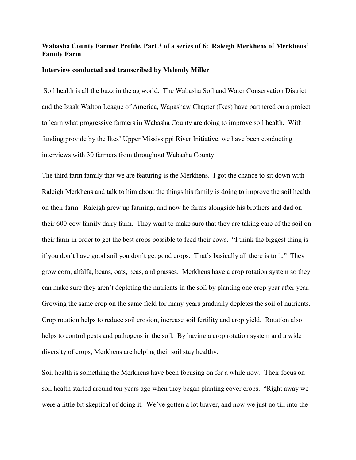## **Wabasha County Farmer Profile, Part 3 of a series of 6: Raleigh Merkhens of Merkhens' Family Farm**

## **Interview conducted and transcribed by Melendy Miller**

Soil health is all the buzz in the ag world. The Wabasha Soil and Water Conservation District and the Izaak Walton League of America, Wapashaw Chapter (Ikes) have partnered on a project to learn what progressive farmers in Wabasha County are doing to improve soil health. With funding provide by the Ikes' Upper Mississippi River Initiative, we have been conducting interviews with 30 farmers from throughout Wabasha County.

The third farm family that we are featuring is the Merkhens. I got the chance to sit down with Raleigh Merkhens and talk to him about the things his family is doing to improve the soil health on their farm. Raleigh grew up farming, and now he farms alongside his brothers and dad on their 600-cow family dairy farm. They want to make sure that they are taking care of the soil on their farm in order to get the best crops possible to feed their cows. "I think the biggest thing is if you don't have good soil you don't get good crops. That's basically all there is to it." They grow corn, alfalfa, beans, oats, peas, and grasses. Merkhens have a crop rotation system so they can make sure they aren't depleting the nutrients in the soil by planting one crop year after year. Growing the same crop on the same field for many years gradually depletes the soil of nutrients. Crop rotation helps to reduce soil erosion, increase soil fertility and crop yield. Rotation also helps to control pests and pathogens in the soil. By having a crop rotation system and a wide diversity of crops, Merkhens are helping their soil stay healthy.

Soil health is something the Merkhens have been focusing on for a while now. Their focus on soil health started around ten years ago when they began planting cover crops. "Right away we were a little bit skeptical of doing it. We've gotten a lot braver, and now we just no till into the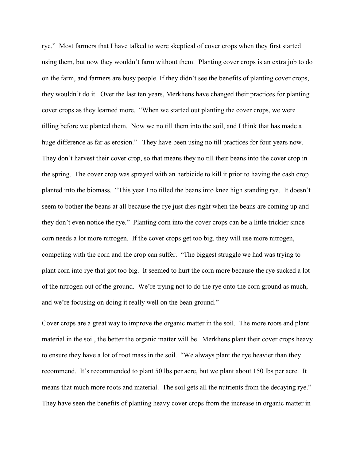rye." Most farmers that I have talked to were skeptical of cover crops when they first started using them, but now they wouldn't farm without them. Planting cover crops is an extra job to do on the farm, and farmers are busy people. If they didn't see the benefits of planting cover crops, they wouldn't do it. Over the last ten years, Merkhens have changed their practices for planting cover crops as they learned more. "When we started out planting the cover crops, we were tilling before we planted them. Now we no till them into the soil, and I think that has made a huge difference as far as erosion." They have been using no till practices for four years now. They don't harvest their cover crop, so that means they no till their beans into the cover crop in the spring. The cover crop was sprayed with an herbicide to kill it prior to having the cash crop planted into the biomass. "This year I no tilled the beans into knee high standing rye. It doesn't seem to bother the beans at all because the rye just dies right when the beans are coming up and they don't even notice the rye." Planting corn into the cover crops can be a little trickier since corn needs a lot more nitrogen. If the cover crops get too big, they will use more nitrogen, competing with the corn and the crop can suffer. "The biggest struggle we had was trying to plant corn into rye that got too big. It seemed to hurt the corn more because the rye sucked a lot of the nitrogen out of the ground. We're trying not to do the rye onto the corn ground as much, and we're focusing on doing it really well on the bean ground."

Cover crops are a great way to improve the organic matter in the soil. The more roots and plant material in the soil, the better the organic matter will be. Merkhens plant their cover crops heavy to ensure they have a lot of root mass in the soil. "We always plant the rye heavier than they recommend. It's recommended to plant 50 lbs per acre, but we plant about 150 lbs per acre. It means that much more roots and material. The soil gets all the nutrients from the decaying rye." They have seen the benefits of planting heavy cover crops from the increase in organic matter in